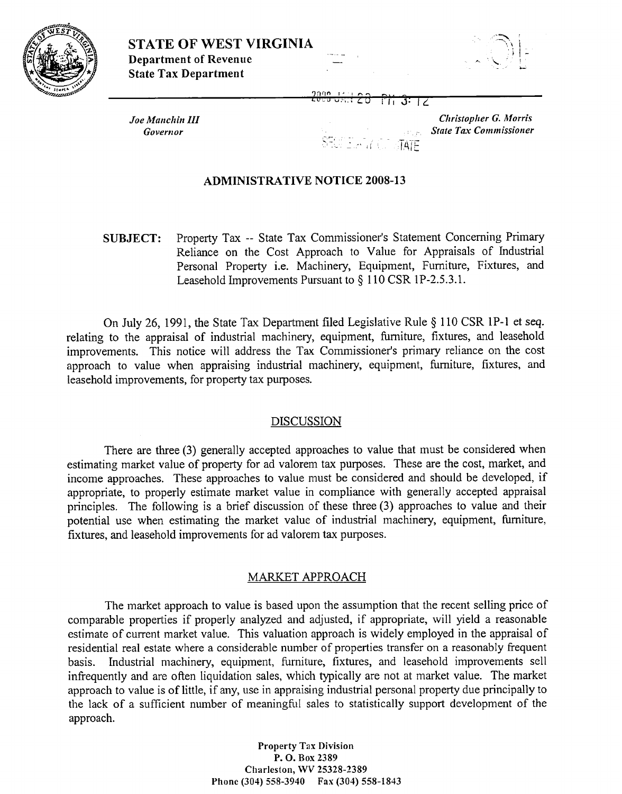



2090 ਸਿ ਤਾ ਕ

المناكبة كالمحافظ

Joe Manchin III Governor

#### **Christopher G. Morris State Tax Commissioner**  $TATE$

# **ADMINISTRATIVE NOTICE 2008-13**

Property Tax -- State Tax Commissioner's Statement Concerning Primary **SUBJECT:** Reliance on the Cost Approach to Value for Appraisals of Industrial Personal Property i.e. Machinery, Equipment, Furniture, Fixtures, and Leasehold Improvements Pursuant to § 110 CSR 1P-2.5.3.1.

On July 26, 1991, the State Tax Department filed Legislative Rule § 110 CSR 1P-1 et seq. relating to the appraisal of industrial machinery, equipment, furniture, fixtures, and leasehold improvements. This notice will address the Tax Commissioner's primary reliance on the cost approach to value when appraising industrial machinery, equipment, furniture, fixtures, and leasehold improvements, for property tax purposes.

### **DISCUSSION**

There are three (3) generally accepted approaches to value that must be considered when estimating market value of property for ad valorem tax purposes. These are the cost, market, and income approaches. These approaches to value must be considered and should be developed, if appropriate, to properly estimate market value in compliance with generally accepted appraisal principles. The following is a brief discussion of these three (3) approaches to value and their potential use when estimating the market value of industrial machinery, equipment, furniture, fixtures, and leasehold improvements for ad valorem tax purposes.

# MARKET APPROACH

The market approach to value is based upon the assumption that the recent selling price of comparable properties if properly analyzed and adjusted, if appropriate, will yield a reasonable estimate of current market value. This valuation approach is widely employed in the appraisal of residential real estate where a considerable number of properties transfer on a reasonably frequent basis. Industrial machinery, equipment, furniture, fixtures, and leasehold improvements sell infrequently and are often liquidation sales, which typically are not at market value. The market approach to value is of little, if any, use in appraising industrial personal property due principally to the lack of a sufficient number of meaningful sales to statistically support development of the approach.

> **Property Tax Division** P. O. Box 2389 Charleston, WV 25328-2389 Phone (304) 558-3940 Fax (304) 558-1843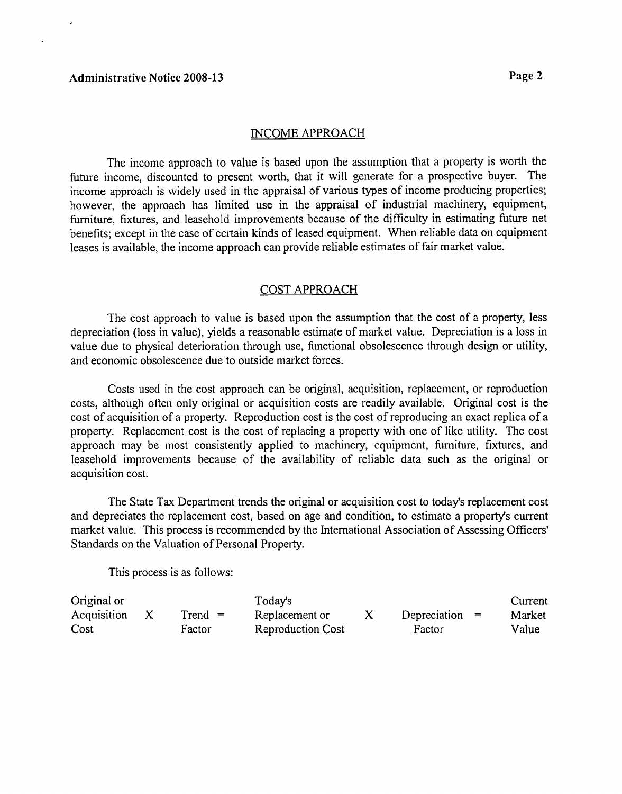#### INCOME APPROACH

The income approach to value is based upon the assumption that a property is worth the future income, discounted to present worth, that it will generate for a prospective buyer. The income approach is widely used in the appraisal of various types of income producing properties; however, the approach has limited use in the appraisal of industrial machinery, equipment, fiuniture, fixtures, and leasehold improvements because of the difficulty in estimating future net benefits; except in the case of certain kinds of leased equipment. When reliable data on equipment leases is available, the income approach can provide reliable estimates of fair market value.

#### COST APPROACH

The cost approach to value is based upon the assumption that the cost of a property, less depreciation (loss in value), yields a reasonable estimate of market value. Depreciation is a loss in value due to physical deterioration through use, functional obsolescence through design or utility, and economic obsolescence due to outside market forces.

Costs used in the cost approach can be original, acquisition, replacement, or reproduction costs, although offen only original or acquisition costs are readily available. Original cost is the cost of acquisition of a property. Reproduction cost is the cost of reproducing an exact replica of a property. Replacement cost is the cost of replacing a property with one of like utility. The cost approach may be most consistently applied to machinery, equipment, furniture, fixtures, and leasehold improvements because of the availability of reliable data such as the original or acquisition cost.

The State Tax Department trends the original or acquisition cost to today's replacement cost and depreciates the replacement cost, based on age and condition, to estimate a property's current market value. This process is recommended by the International Association of Assessing Officers' Standards on the Valuation of Personal Property.

This process is as follows:

| Original or |           | Today's                  |                  | Current |
|-------------|-----------|--------------------------|------------------|---------|
| Acquisition | $Trend =$ | Replacement or           | Depreciation $=$ | Market  |
| Cost        | Factor    | <b>Reproduction Cost</b> | Factor           | Value   |